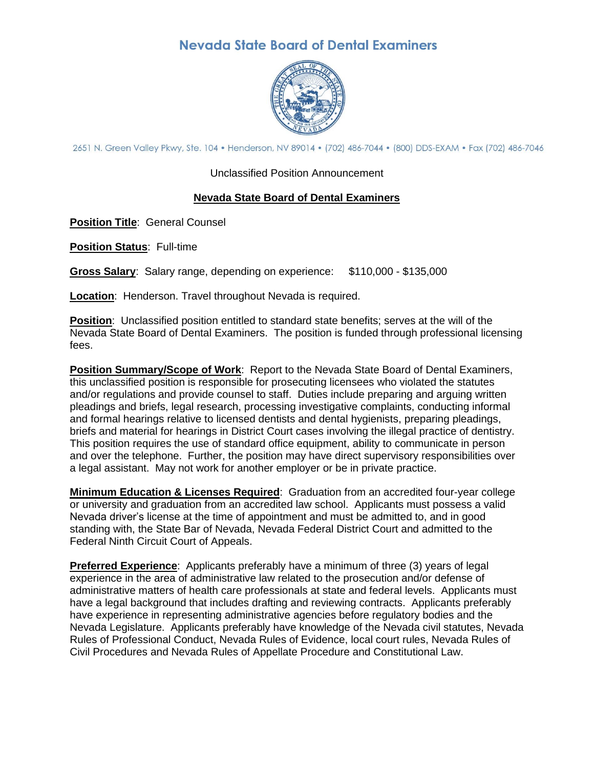## **Nevada State Board of Dental Examiners**



2651 N. Green Valley Pkwy, Ste. 104 · Henderson, NV 89014 · (702) 486-7044 · (800) DDS-EXAM · Fax (702) 486-7046

Unclassified Position Announcement

## **Nevada State Board of Dental Examiners**

**Position Title**: General Counsel

**Position Status**: Full-time

**Gross Salary**: Salary range, depending on experience: \$110,000 - \$135,000

**Location**: Henderson. Travel throughout Nevada is required.

**Position**: Unclassified position entitled to standard state benefits; serves at the will of the Nevada State Board of Dental Examiners. The position is funded through professional licensing fees.

**Position Summary/Scope of Work**: Report to the Nevada State Board of Dental Examiners, this unclassified position is responsible for prosecuting licensees who violated the statutes and/or regulations and provide counsel to staff. Duties include preparing and arguing written pleadings and briefs, legal research, processing investigative complaints, conducting informal and formal hearings relative to licensed dentists and dental hygienists, preparing pleadings, briefs and material for hearings in District Court cases involving the illegal practice of dentistry. This position requires the use of standard office equipment, ability to communicate in person and over the telephone. Further, the position may have direct supervisory responsibilities over a legal assistant. May not work for another employer or be in private practice.

**Minimum Education & Licenses Required**: Graduation from an accredited four-year college or university and graduation from an accredited law school. Applicants must possess a valid Nevada driver's license at the time of appointment and must be admitted to, and in good standing with, the State Bar of Nevada, Nevada Federal District Court and admitted to the Federal Ninth Circuit Court of Appeals.

**Preferred Experience**: Applicants preferably have a minimum of three (3) years of legal experience in the area of administrative law related to the prosecution and/or defense of administrative matters of health care professionals at state and federal levels. Applicants must have a legal background that includes drafting and reviewing contracts. Applicants preferably have experience in representing administrative agencies before regulatory bodies and the Nevada Legislature. Applicants preferably have knowledge of the Nevada civil statutes, Nevada Rules of Professional Conduct, Nevada Rules of Evidence, local court rules, Nevada Rules of Civil Procedures and Nevada Rules of Appellate Procedure and Constitutional Law.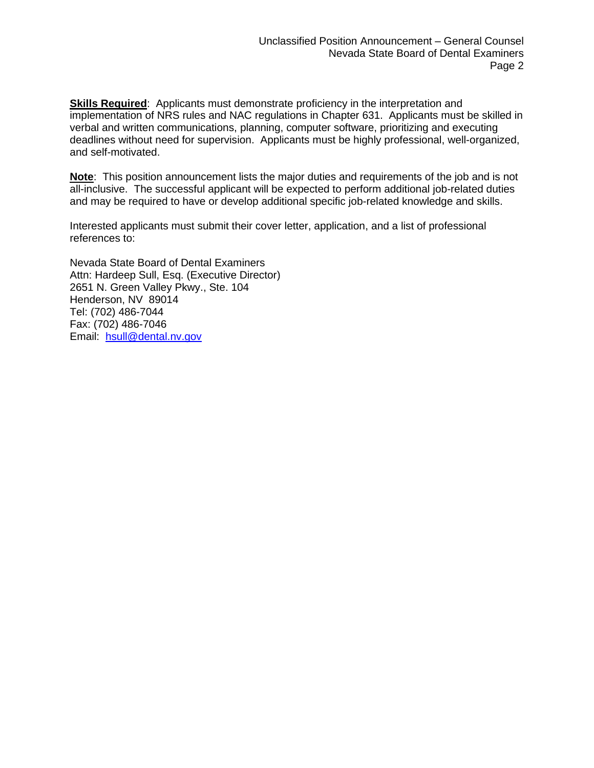**Skills Required:** Applicants must demonstrate proficiency in the interpretation and implementation of NRS rules and NAC regulations in Chapter 631. Applicants must be skilled in verbal and written communications, planning, computer software, prioritizing and executing deadlines without need for supervision. Applicants must be highly professional, well-organized, and self-motivated.

**Note**: This position announcement lists the major duties and requirements of the job and is not all-inclusive. The successful applicant will be expected to perform additional job-related duties and may be required to have or develop additional specific job-related knowledge and skills.

Interested applicants must submit their cover letter, application, and a list of professional references to:

Nevada State Board of Dental Examiners Attn: Hardeep Sull, Esq. (Executive Director) 2651 N. Green Valley Pkwy., Ste. 104 Henderson, NV 89014 Tel: (702) 486-7044 Fax: (702) 486-7046 Email: [hsull@dental.nv.gov](mailto:hsull@dental.nv.gov)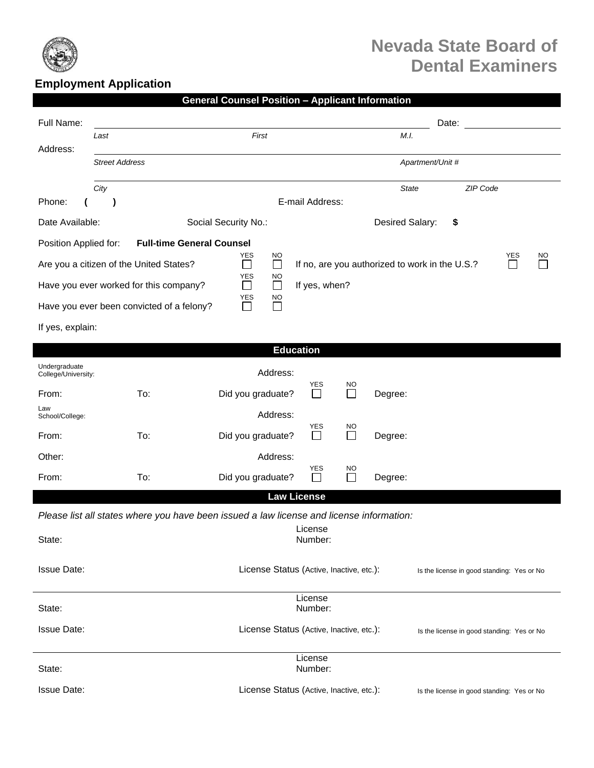

## **Nevada State Board of Dental Examiners**

## **Employment Application**

|  | General Counsel Position – Applicant Information |  |  |
|--|--------------------------------------------------|--|--|
|  |                                                  |  |  |

| Full Name:                                                                                                                                             |                                           |                                                                                          |                                          |                           |                 | Date:            |                                            |  |
|--------------------------------------------------------------------------------------------------------------------------------------------------------|-------------------------------------------|------------------------------------------------------------------------------------------|------------------------------------------|---------------------------|-----------------|------------------|--------------------------------------------|--|
|                                                                                                                                                        | Last                                      | First                                                                                    |                                          |                           | M.I.            |                  |                                            |  |
| Address:                                                                                                                                               | <b>Street Address</b>                     |                                                                                          |                                          |                           |                 | Apartment/Unit # |                                            |  |
|                                                                                                                                                        | City                                      |                                                                                          |                                          |                           | <b>State</b>    |                  | ZIP Code                                   |  |
| Phone:                                                                                                                                                 |                                           |                                                                                          | E-mail Address:                          |                           |                 |                  |                                            |  |
| Date Available:                                                                                                                                        |                                           | Social Security No.:                                                                     |                                          |                           | Desired Salary: | \$               |                                            |  |
| <b>Full-time General Counsel</b><br>Position Applied for:                                                                                              |                                           |                                                                                          |                                          |                           |                 |                  |                                            |  |
| <b>YES</b><br><b>YES</b><br><b>NO</b><br>Are you a citizen of the United States?<br>$\Box$<br>If no, are you authorized to work in the U.S.?<br>$\Box$ |                                           |                                                                                          |                                          |                           |                 |                  | NO                                         |  |
| <b>YES</b><br>NO<br>$\Box$<br>Have you ever worked for this company?<br>If yes, when?<br>$\Box$                                                        |                                           |                                                                                          |                                          |                           |                 |                  |                                            |  |
|                                                                                                                                                        | Have you ever been convicted of a felony? | <b>YES</b><br><b>NO</b><br>П<br>ΙI                                                       |                                          |                           |                 |                  |                                            |  |
| If yes, explain:                                                                                                                                       |                                           |                                                                                          |                                          |                           |                 |                  |                                            |  |
|                                                                                                                                                        |                                           |                                                                                          | <b>Education</b>                         |                           |                 |                  |                                            |  |
| Undergraduate<br>College/University:                                                                                                                   |                                           | Address:                                                                                 |                                          |                           |                 |                  |                                            |  |
| From:                                                                                                                                                  | To:                                       | Did you graduate?                                                                        | YES<br>$\Box$                            | <b>NO</b><br>$\mathbf{L}$ | Degree:         |                  |                                            |  |
| Law<br>School/College:                                                                                                                                 |                                           | Address:                                                                                 |                                          |                           |                 |                  |                                            |  |
| From:                                                                                                                                                  | To:                                       | Did you graduate?                                                                        | <b>YES</b><br>$\perp$                    | <b>NO</b><br>$\Box$       | Degree:         |                  |                                            |  |
| Other:                                                                                                                                                 |                                           | Address:                                                                                 |                                          |                           |                 |                  |                                            |  |
| From:                                                                                                                                                  | To:                                       | Did you graduate?                                                                        | YES                                      | <b>NO</b>                 | Degree:         |                  |                                            |  |
|                                                                                                                                                        |                                           |                                                                                          | <b>Law License</b>                       |                           |                 |                  |                                            |  |
|                                                                                                                                                        |                                           | Please list all states where you have been issued a law license and license information: |                                          |                           |                 |                  |                                            |  |
| State:                                                                                                                                                 |                                           |                                                                                          | License<br>Number:                       |                           |                 |                  |                                            |  |
| <b>Issue Date:</b>                                                                                                                                     |                                           | License Status (Active, Inactive, etc.):<br>Is the license in good standing: Yes or No   |                                          |                           |                 |                  |                                            |  |
| License<br>State:<br>Number:                                                                                                                           |                                           |                                                                                          |                                          |                           |                 |                  |                                            |  |
| <b>Issue Date:</b>                                                                                                                                     |                                           | License Status (Active, Inactive, etc.):<br>Is the license in good standing: Yes or No   |                                          |                           |                 |                  |                                            |  |
| State:                                                                                                                                                 |                                           |                                                                                          | License<br>Number:                       |                           |                 |                  |                                            |  |
| <b>Issue Date:</b>                                                                                                                                     |                                           |                                                                                          | License Status (Active, Inactive, etc.): |                           |                 |                  | Is the license in good standing: Yes or No |  |